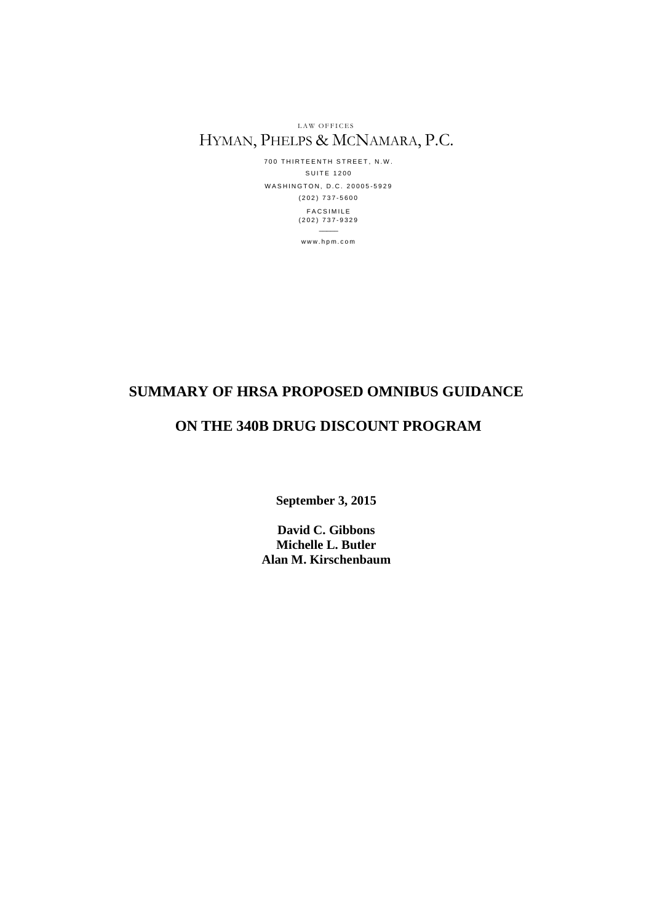LAW OFFICES HYMAN, PHELPS & MCNAMARA, P.C.

> 700 THIRTEENTH STREET, N.W. **SUITE 1200** WASHINGTON, D.C. 20005-5929 ( 2 0 2 ) 7 3 7 - 5 6 0 0 **FACSIMILE** ( 2 0 2 ) 7 3 7 - 9 3 2 9  $\overline{\phantom{a}}$

> > w w w . h p m . c o m

# **SUMMARY OF HRSA PROPOSED OMNIBUS GUIDANCE**

# **ON THE 340B DRUG DISCOUNT PROGRAM**

**September 3, 2015**

**David C. Gibbons Michelle L. Butler Alan M. Kirschenbaum**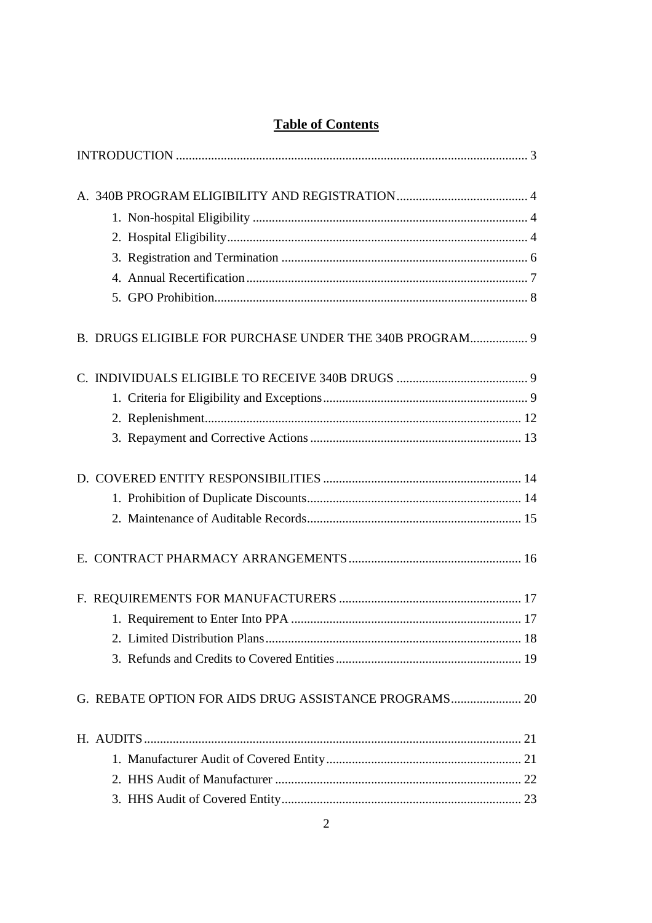# **Table of Contents**

| B. DRUGS ELIGIBLE FOR PURCHASE UNDER THE 340B PROGRAM 9 |  |
|---------------------------------------------------------|--|
|                                                         |  |
|                                                         |  |
|                                                         |  |
|                                                         |  |
|                                                         |  |
|                                                         |  |
|                                                         |  |
|                                                         |  |
|                                                         |  |
|                                                         |  |
|                                                         |  |
|                                                         |  |
| G. REBATE OPTION FOR AIDS DRUG ASSISTANCE PROGRAMS 20   |  |
|                                                         |  |
|                                                         |  |
|                                                         |  |
|                                                         |  |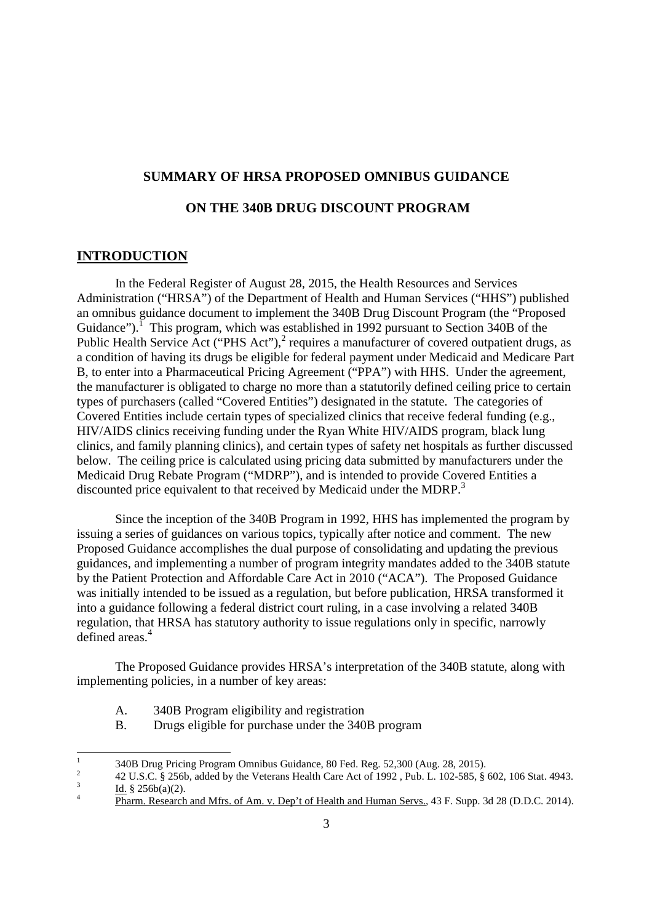# **SUMMARY OF HRSA PROPOSED OMNIBUS GUIDANCE**

## **ON THE 340B DRUG DISCOUNT PROGRAM**

#### **INTRODUCTION**

In the Federal Register of August 28, 2015, the Health Resources and Services Administration ("HRSA") of the Department of Health and Human Services ("HHS") published an omnibus guidance document to implement the 340B Drug Discount Program (the "Proposed Guidance").<sup>I</sup> This program, which was established in 1992 pursuant to Section 340B of the Public Health Service Act ("PHS Act"), $^2$  requires a manufacturer of covered outpatient drugs, as a condition of having its drugs be eligible for federal payment under Medicaid and Medicare Part B, to enter into a Pharmaceutical Pricing Agreement ("PPA") with HHS. Under the agreement, the manufacturer is obligated to charge no more than a statutorily defined ceiling price to certain types of purchasers (called "Covered Entities") designated in the statute. The categories of Covered Entities include certain types of specialized clinics that receive federal funding (e.g., HIV/AIDS clinics receiving funding under the Ryan White HIV/AIDS program, black lung clinics, and family planning clinics), and certain types of safety net hospitals as further discussed below. The ceiling price is calculated using pricing data submitted by manufacturers under the Medicaid Drug Rebate Program ("MDRP"), and is intended to provide Covered Entities a discounted price equivalent to that received by Medicaid under the MDRP.<sup>3</sup>

Since the inception of the 340B Program in 1992, HHS has implemented the program by issuing a series of guidances on various topics, typically after notice and comment. The new Proposed Guidance accomplishes the dual purpose of consolidating and updating the previous guidances, and implementing a number of program integrity mandates added to the 340B statute by the Patient Protection and Affordable Care Act in 2010 ("ACA"). The Proposed Guidance was initially intended to be issued as a regulation, but before publication, HRSA transformed it into a guidance following a federal district court ruling, in a case involving a related 340B regulation, that HRSA has statutory authority to issue regulations only in specific, narrowly defined areas.<sup>4</sup>

The Proposed Guidance provides HRSA's interpretation of the 340B statute, along with implementing policies, in a number of key areas:

- A. 340B Program eligibility and registration
- B. Drugs eligible for purchase under the 340B program

<sup>1</sup> 340B Drug Pricing Program Omnibus Guidance, 80 Fed. Reg. 52,300 (Aug. 28, 2015). 2

<sup>42</sup> U.S.C. § 256b, added by the Veterans Health Care Act of 1992 , Pub. L. 102-585, § 602, 106 Stat. 4943. 3 Id. § 256b(a)(2).

<sup>4</sup> Pharm. Research and Mfrs. of Am. v. Dep't of Health and Human Servs., 43 F. Supp. 3d 28 (D.D.C. 2014).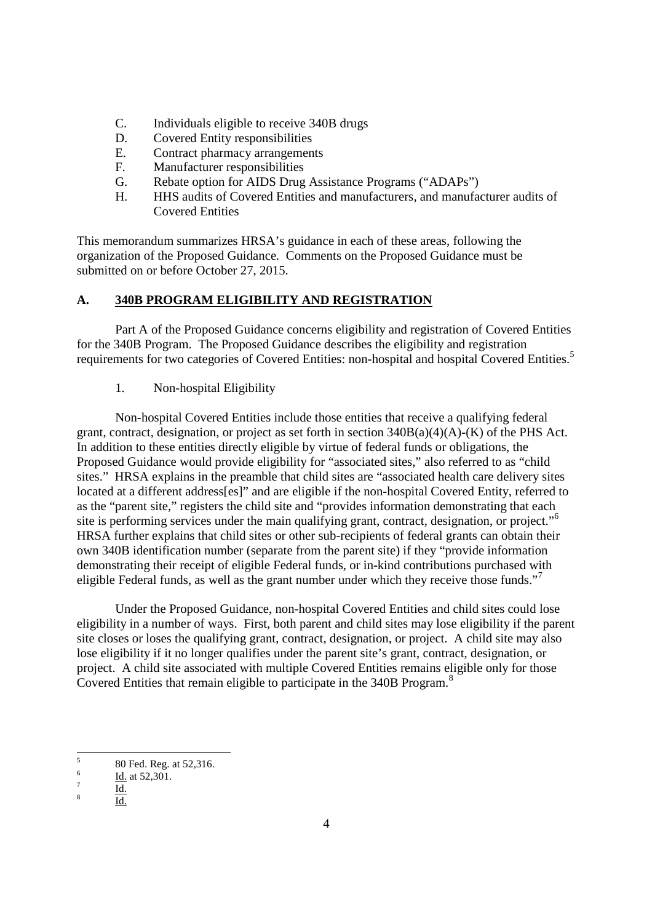- C. Individuals eligible to receive 340B drugs
- D. Covered Entity responsibilities
- E. Contract pharmacy arrangements
- F. Manufacturer responsibilities
- G. Rebate option for AIDS Drug Assistance Programs ("ADAPs")
- H. HHS audits of Covered Entities and manufacturers, and manufacturer audits of Covered Entities

This memorandum summarizes HRSA's guidance in each of these areas, following the organization of the Proposed Guidance. Comments on the Proposed Guidance must be submitted on or before October 27, 2015.

# **A. 340B PROGRAM ELIGIBILITY AND REGISTRATION**

Part A of the Proposed Guidance concerns eligibility and registration of Covered Entities for the 340B Program. The Proposed Guidance describes the eligibility and registration requirements for two categories of Covered Entities: non-hospital and hospital Covered Entities.<sup>5</sup>

#### 1. Non-hospital Eligibility

Non-hospital Covered Entities include those entities that receive a qualifying federal grant, contract, designation, or project as set forth in section 340B(a)(4)(A)-(K) of the PHS Act. In addition to these entities directly eligible by virtue of federal funds or obligations, the Proposed Guidance would provide eligibility for "associated sites," also referred to as "child sites." HRSA explains in the preamble that child sites are "associated health care delivery sites located at a different address[es]" and are eligible if the non-hospital Covered Entity, referred to as the "parent site," registers the child site and "provides information demonstrating that each site is performing services under the main qualifying grant, contract, designation, or project."<sup>6</sup> HRSA further explains that child sites or other sub-recipients of federal grants can obtain their own 340B identification number (separate from the parent site) if they "provide information demonstrating their receipt of eligible Federal funds, or in-kind contributions purchased with eligible Federal funds, as well as the grant number under which they receive those funds."<sup>7</sup>

Under the Proposed Guidance, non-hospital Covered Entities and child sites could lose eligibility in a number of ways. First, both parent and child sites may lose eligibility if the parent site closes or loses the qualifying grant, contract, designation, or project. A child site may also lose eligibility if it no longer qualifies under the parent site's grant, contract, designation, or project. A child site associated with multiple Covered Entities remains eligible only for those Covered Entities that remain eligible to participate in the 340B Program.<sup>8</sup>

<sup>5</sup> 80 Fed. Reg. at 52,316. 6

Id. at 52,301.

<sup>7</sup> Id.

<sup>8</sup> Id.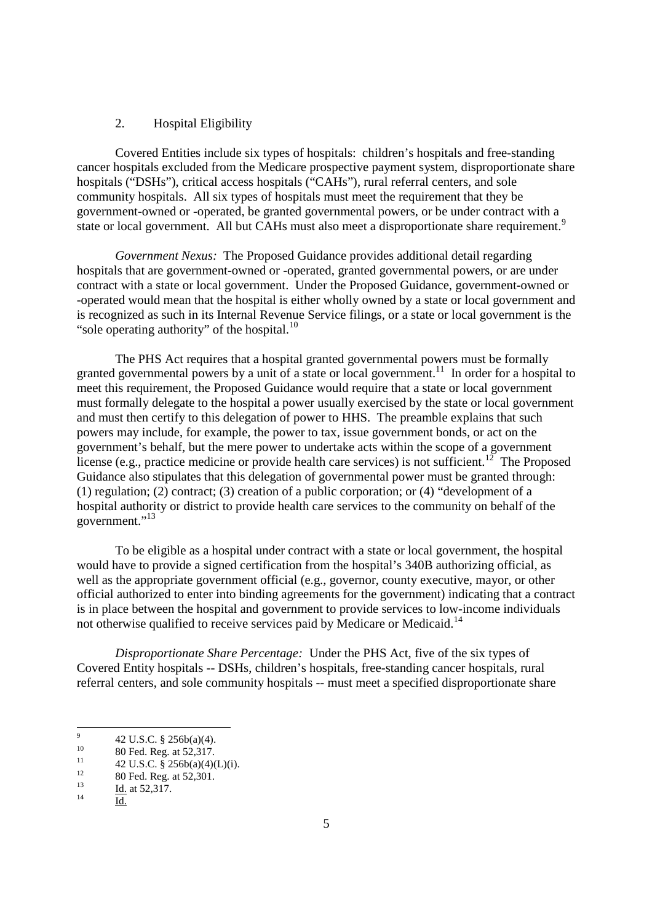#### 2. Hospital Eligibility

Covered Entities include six types of hospitals: children's hospitals and free-standing cancer hospitals excluded from the Medicare prospective payment system, disproportionate share hospitals ("DSHs"), critical access hospitals ("CAHs"), rural referral centers, and sole community hospitals. All six types of hospitals must meet the requirement that they be government-owned or -operated, be granted governmental powers, or be under contract with a state or local government. All but CAHs must also meet a disproportionate share requirement.<sup>9</sup>

*Government Nexus:* The Proposed Guidance provides additional detail regarding hospitals that are government-owned or -operated, granted governmental powers, or are under contract with a state or local government. Under the Proposed Guidance, government-owned or -operated would mean that the hospital is either wholly owned by a state or local government and is recognized as such in its Internal Revenue Service filings, or a state or local government is the "sole operating authority" of the hospital. $^{10}$ 

The PHS Act requires that a hospital granted governmental powers must be formally granted governmental powers by a unit of a state or local government.<sup>11</sup> In order for a hospital to meet this requirement, the Proposed Guidance would require that a state or local government must formally delegate to the hospital a power usually exercised by the state or local government and must then certify to this delegation of power to HHS. The preamble explains that such powers may include, for example, the power to tax, issue government bonds, or act on the government's behalf, but the mere power to undertake acts within the scope of a government license (e.g., practice medicine or provide health care services) is not sufficient.<sup>12</sup> The Proposed Guidance also stipulates that this delegation of governmental power must be granted through: (1) regulation; (2) contract; (3) creation of a public corporation; or (4) "development of a hospital authority or district to provide health care services to the community on behalf of the government."<sup>13</sup>

To be eligible as a hospital under contract with a state or local government, the hospital would have to provide a signed certification from the hospital's 340B authorizing official, as well as the appropriate government official (e.g., governor, county executive, mayor, or other official authorized to enter into binding agreements for the government) indicating that a contract is in place between the hospital and government to provide services to low-income individuals not otherwise qualified to receive services paid by Medicare or Medicaid.<sup>14</sup>

*Disproportionate Share Percentage:* Under the PHS Act, five of the six types of Covered Entity hospitals -- DSHs, children's hospitals, free-standing cancer hospitals, rural referral centers, and sole community hospitals -- must meet a specified disproportionate share

<sup>9</sup> 42 U.S.C. § 256b(a)(4).

<sup>10 80</sup> Fed. Reg. at 52,317.

<sup>&</sup>lt;sup>11</sup> 42 U.S.C.  $\frac{256b(a)(4)(L)(i)}{2}$ .

<sup>&</sup>lt;sup>12</sup> 80 Fed. Reg. at 52,301.

 $\frac{13}{14}$  Id. at 52,317.

Id.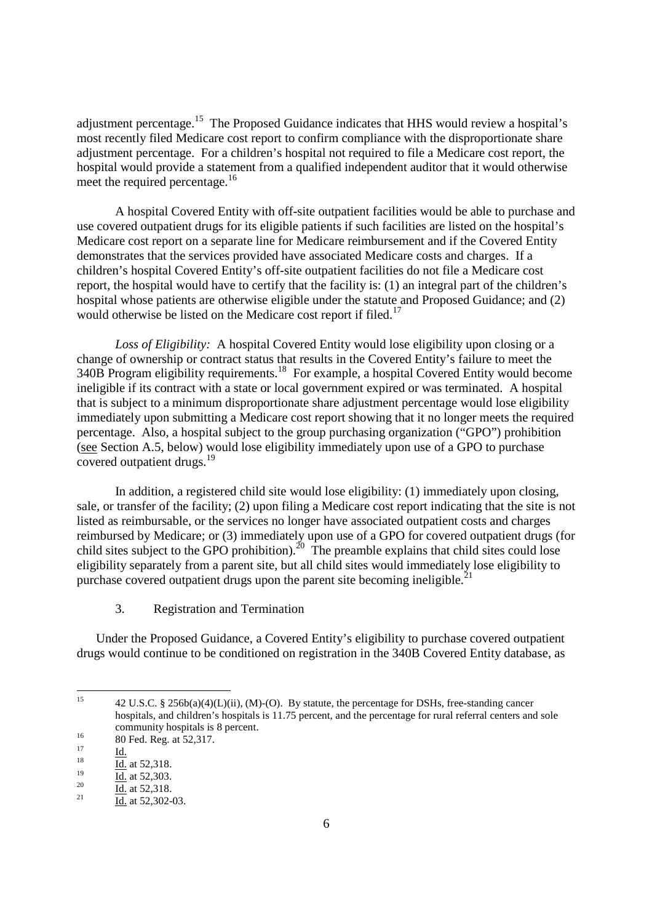adjustment percentage.<sup>15</sup> The Proposed Guidance indicates that HHS would review a hospital's most recently filed Medicare cost report to confirm compliance with the disproportionate share adjustment percentage. For a children's hospital not required to file a Medicare cost report, the hospital would provide a statement from a qualified independent auditor that it would otherwise meet the required percentage.<sup>16</sup>

A hospital Covered Entity with off-site outpatient facilities would be able to purchase and use covered outpatient drugs for its eligible patients if such facilities are listed on the hospital's Medicare cost report on a separate line for Medicare reimbursement and if the Covered Entity demonstrates that the services provided have associated Medicare costs and charges. If a children's hospital Covered Entity's off-site outpatient facilities do not file a Medicare cost report, the hospital would have to certify that the facility is: (1) an integral part of the children's hospital whose patients are otherwise eligible under the statute and Proposed Guidance; and (2) would otherwise be listed on the Medicare cost report if filed.<sup>17</sup>

*Loss of Eligibility:* A hospital Covered Entity would lose eligibility upon closing or a change of ownership or contract status that results in the Covered Entity's failure to meet the 340B Program eligibility requirements.<sup>18</sup> For example, a hospital Covered Entity would become ineligible if its contract with a state or local government expired or was terminated. A hospital that is subject to a minimum disproportionate share adjustment percentage would lose eligibility immediately upon submitting a Medicare cost report showing that it no longer meets the required percentage. Also, a hospital subject to the group purchasing organization ("GPO") prohibition (see Section A.5, below) would lose eligibility immediately upon use of a GPO to purchase covered outpatient drugs.<sup>19</sup>

In addition, a registered child site would lose eligibility: (1) immediately upon closing, sale, or transfer of the facility; (2) upon filing a Medicare cost report indicating that the site is not listed as reimbursable, or the services no longer have associated outpatient costs and charges reimbursed by Medicare; or (3) immediately upon use of a GPO for covered outpatient drugs (for child sites subject to the GPO prohibition).<sup>20</sup> The preamble explains that child sites could lose eligibility separately from a parent site, but all child sites would immediately lose eligibility to purchase covered outpatient drugs upon the parent site becoming ineligible.<sup>2</sup>

3. Registration and Termination

Under the Proposed Guidance, a Covered Entity's eligibility to purchase covered outpatient drugs would continue to be conditioned on registration in the 340B Covered Entity database, as

<sup>&</sup>lt;sup>15</sup> 42 U.S.C. § 256b(a)(4)(L)(ii), (M)-(O). By statute, the percentage for DSHs, free-standing cancer hospitals, and children's hospitals is 11.75 percent, and the percentage for rural referral centers and sole community hospitals is 8 percent.

 $^{16}$  80 Fed. Reg. at 52,317.

 $\frac{17}{18}$  <u>Id.</u>

 $\frac{18}{19}$  Id. at 52,318.

 $\frac{19}{20}$  Id. at 52,303.

 $\frac{20}{21}$  Id. at 52,318.

Id. at 52,302-03.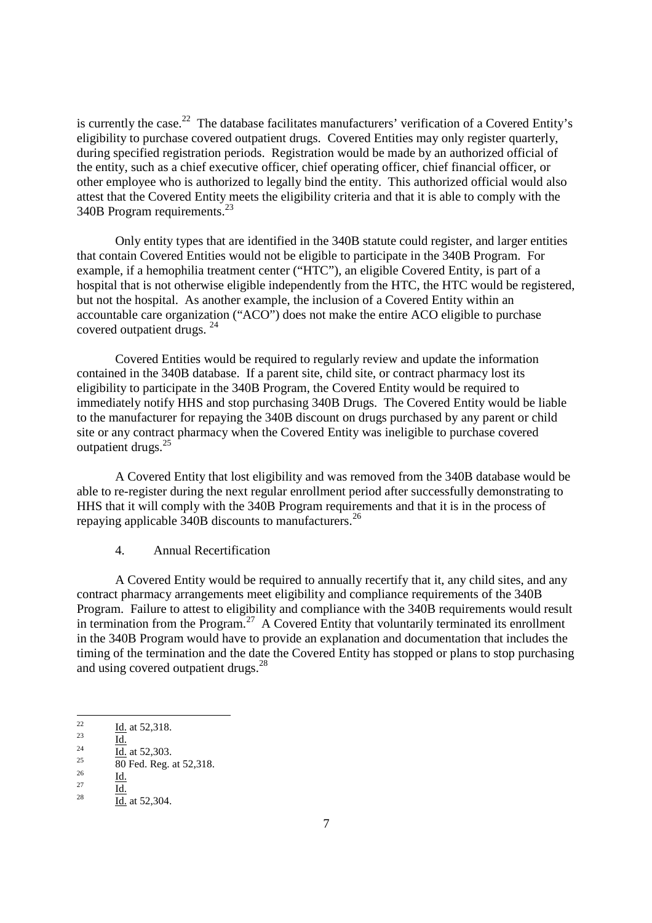is currently the case.<sup>22</sup> The database facilitates manufacturers' verification of a Covered Entity's eligibility to purchase covered outpatient drugs. Covered Entities may only register quarterly, during specified registration periods. Registration would be made by an authorized official of the entity, such as a chief executive officer, chief operating officer, chief financial officer, or other employee who is authorized to legally bind the entity. This authorized official would also attest that the Covered Entity meets the eligibility criteria and that it is able to comply with the 340B Program requirements.<sup>23</sup>

Only entity types that are identified in the 340B statute could register, and larger entities that contain Covered Entities would not be eligible to participate in the 340B Program. For example, if a hemophilia treatment center ("HTC"), an eligible Covered Entity, is part of a hospital that is not otherwise eligible independently from the HTC, the HTC would be registered, but not the hospital. As another example, the inclusion of a Covered Entity within an accountable care organization ("ACO") does not make the entire ACO eligible to purchase covered outpatient drugs. <sup>24</sup>

Covered Entities would be required to regularly review and update the information contained in the 340B database. If a parent site, child site, or contract pharmacy lost its eligibility to participate in the 340B Program, the Covered Entity would be required to immediately notify HHS and stop purchasing 340B Drugs. The Covered Entity would be liable to the manufacturer for repaying the 340B discount on drugs purchased by any parent or child site or any contract pharmacy when the Covered Entity was ineligible to purchase covered outpatient drugs.<sup>25</sup>

A Covered Entity that lost eligibility and was removed from the 340B database would be able to re-register during the next regular enrollment period after successfully demonstrating to HHS that it will comply with the 340B Program requirements and that it is in the process of repaying applicable 340B discounts to manufacturers.<sup>26</sup>

#### 4. Annual Recertification

A Covered Entity would be required to annually recertify that it, any child sites, and any contract pharmacy arrangements meet eligibility and compliance requirements of the 340B Program. Failure to attest to eligibility and compliance with the 340B requirements would result in termination from the Program.<sup>27</sup> A Covered Entity that voluntarily terminated its enrollment in the 340B Program would have to provide an explanation and documentation that includes the timing of the termination and the date the Covered Entity has stopped or plans to stop purchasing and using covered outpatient drugs.<sup>28</sup>

 $\frac{22}{23}$  Id. at 52,318.

 $\frac{23}{24}$  Id.

 $\frac{24}{25}$  Id. at 52,303.

 $\frac{25}{26}$  80 Fed. Reg. at 52,318.

 $rac{26}{27}$  Id.

 $\frac{27}{28}$  Id.

 $\overline{Id}$ . at 52,304.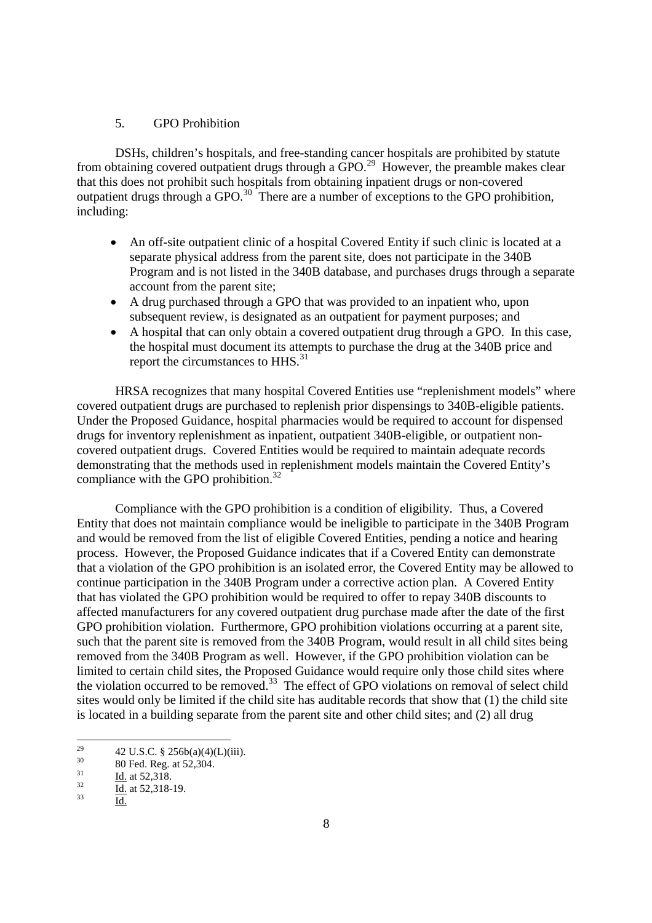#### 5. GPO Prohibition

DSHs, children's hospitals, and free-standing cancer hospitals are prohibited by statute from obtaining covered outpatient drugs through a GPO.<sup>29</sup> However, the preamble makes clear that this does not prohibit such hospitals from obtaining inpatient drugs or non-covered outpatient drugs through a GPO.<sup>30</sup> There are a number of exceptions to the GPO prohibition, including:

- An off-site outpatient clinic of a hospital Covered Entity if such clinic is located at a separate physical address from the parent site, does not participate in the 340B Program and is not listed in the 340B database, and purchases drugs through a separate account from the parent site;
- A drug purchased through a GPO that was provided to an inpatient who, upon subsequent review, is designated as an outpatient for payment purposes; and
- A hospital that can only obtain a covered outpatient drug through a GPO. In this case, the hospital must document its attempts to purchase the drug at the 340B price and report the circumstances to HHS.<sup>31</sup>

HRSA recognizes that many hospital Covered Entities use "replenishment models" where covered outpatient drugs are purchased to replenish prior dispensings to 340B-eligible patients. Under the Proposed Guidance, hospital pharmacies would be required to account for dispensed drugs for inventory replenishment as inpatient, outpatient 340B-eligible, or outpatient noncovered outpatient drugs. Covered Entities would be required to maintain adequate records demonstrating that the methods used in replenishment models maintain the Covered Entity's compliance with the GPO prohibition. $32$ 

Compliance with the GPO prohibition is a condition of eligibility. Thus, a Covered Entity that does not maintain compliance would be ineligible to participate in the 340B Program and would be removed from the list of eligible Covered Entities, pending a notice and hearing process. However, the Proposed Guidance indicates that if a Covered Entity can demonstrate that a violation of the GPO prohibition is an isolated error, the Covered Entity may be allowed to continue participation in the 340B Program under a corrective action plan. A Covered Entity that has violated the GPO prohibition would be required to offer to repay 340B discounts to affected manufacturers for any covered outpatient drug purchase made after the date of the first GPO prohibition violation. Furthermore, GPO prohibition violations occurring at a parent site, such that the parent site is removed from the 340B Program, would result in all child sites being removed from the 340B Program as well. However, if the GPO prohibition violation can be limited to certain child sites, the Proposed Guidance would require only those child sites where the violation occurred to be removed.<sup>33</sup> The effect of GPO violations on removal of select child sites would only be limited if the child site has auditable records that show that (1) the child site is located in a building separate from the parent site and other child sites; and (2) all drug

<sup>&</sup>lt;sup>29</sup> 42 U.S.C. § 256b(a)(4)(L)(iii).<br><sup>30</sup> 90 F. J. P. (52,304)

 $\frac{30}{31}$  80 Fed. Reg. at 52,304.

 $\frac{31}{32}$  Id. at 52,318.

 $\frac{32}{33}$  Id. at 52,318-19.

Id.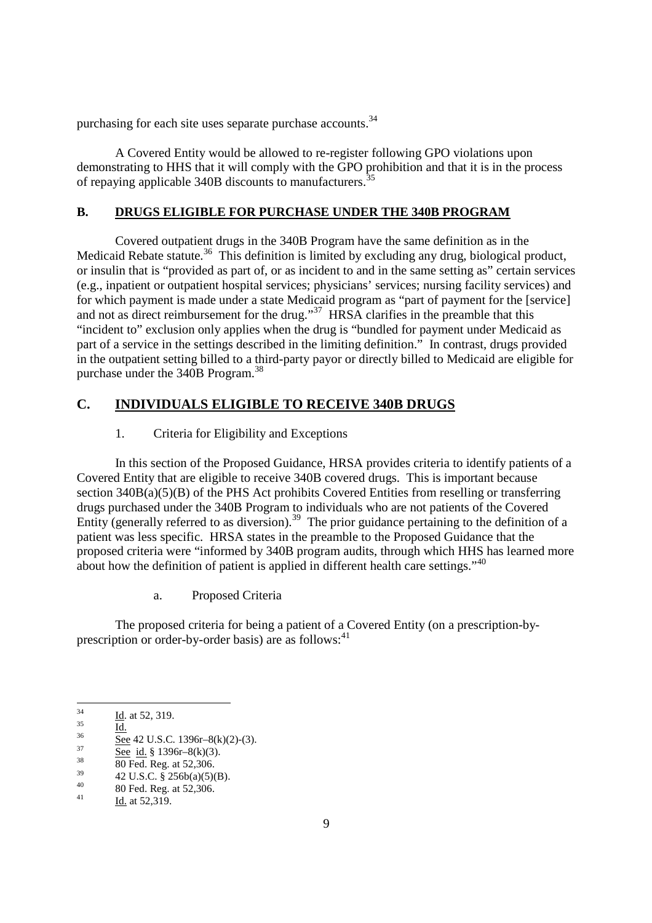purchasing for each site uses separate purchase accounts.<sup>34</sup>

A Covered Entity would be allowed to re-register following GPO violations upon demonstrating to HHS that it will comply with the GPO prohibition and that it is in the process of repaying applicable 340B discounts to manufacturers.<sup>35</sup>

# **B. DRUGS ELIGIBLE FOR PURCHASE UNDER THE 340B PROGRAM**

Covered outpatient drugs in the 340B Program have the same definition as in the Medicaid Rebate statute.<sup>36</sup> This definition is limited by excluding any drug, biological product, or insulin that is "provided as part of, or as incident to and in the same setting as" certain services (e.g., inpatient or outpatient hospital services; physicians' services; nursing facility services) and for which payment is made under a state Medicaid program as "part of payment for the [service] and not as direct reimbursement for the drug."<sup>37</sup> HRSA clarifies in the preamble that this "incident to" exclusion only applies when the drug is "bundled for payment under Medicaid as part of a service in the settings described in the limiting definition." In contrast, drugs provided in the outpatient setting billed to a third-party payor or directly billed to Medicaid are eligible for purchase under the 340B Program.<sup>38</sup>

# **C. INDIVIDUALS ELIGIBLE TO RECEIVE 340B DRUGS**

# 1. Criteria for Eligibility and Exceptions

In this section of the Proposed Guidance, HRSA provides criteria to identify patients of a Covered Entity that are eligible to receive 340B covered drugs. This is important because section 340B(a)(5)(B) of the PHS Act prohibits Covered Entities from reselling or transferring drugs purchased under the 340B Program to individuals who are not patients of the Covered Entity (generally referred to as diversion).<sup>39</sup> The prior guidance pertaining to the definition of a patient was less specific. HRSA states in the preamble to the Proposed Guidance that the proposed criteria were "informed by 340B program audits, through which HHS has learned more about how the definition of patient is applied in different health care settings."<sup>40</sup>

a. Proposed Criteria

The proposed criteria for being a patient of a Covered Entity (on a prescription-byprescription or order-by-order basis) are as follows: $41$ 

 $rac{35}{36}$  Id.

 $\frac{34}{35}$  Id. at 52, 319.

 $\frac{36}{37}$  See 42 U.S.C. 1396r–8(k)(2)-(3).

 $rac{37}{38}$  See id. § 1396r-8(k)(3).

 $\frac{38}{39}$  80 Fed. Reg. at 52,306.

 $^{39}$  42 U.S.C. § 256b(a)(5)(B).

<sup>&</sup>lt;sup>40</sup> 80 Fed. Reg. at 52,306.

Id. at 52,319.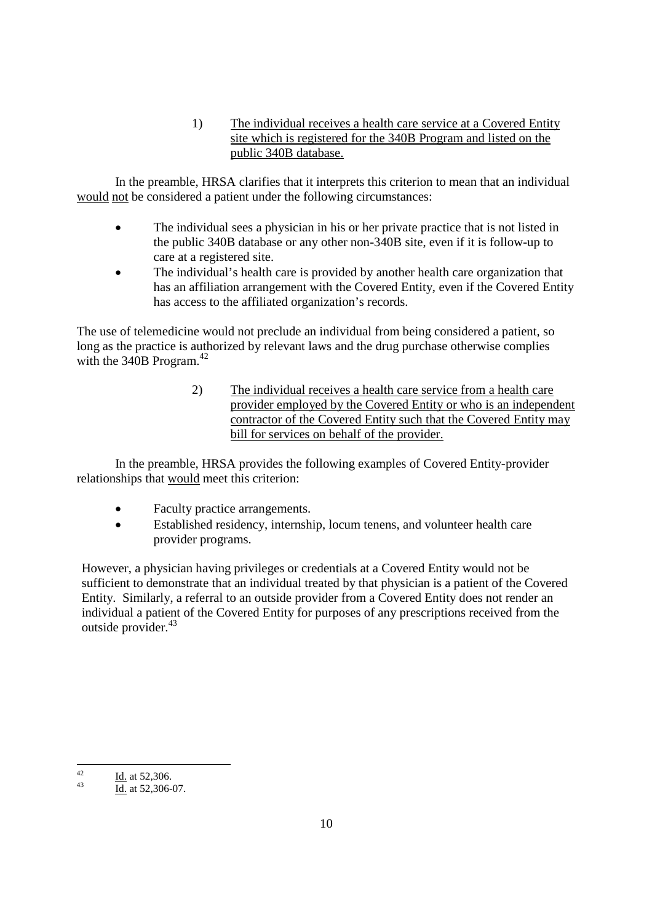1) The individual receives a health care service at a Covered Entity site which is registered for the 340B Program and listed on the public 340B database.

In the preamble, HRSA clarifies that it interprets this criterion to mean that an individual would not be considered a patient under the following circumstances:

- The individual sees a physician in his or her private practice that is not listed in the public 340B database or any other non-340B site, even if it is follow-up to care at a registered site.
- The individual's health care is provided by another health care organization that has an affiliation arrangement with the Covered Entity, even if the Covered Entity has access to the affiliated organization's records.

The use of telemedicine would not preclude an individual from being considered a patient, so long as the practice is authorized by relevant laws and the drug purchase otherwise complies with the  $340B$  Program.<sup>42</sup>

> 2) The individual receives a health care service from a health care provider employed by the Covered Entity or who is an independent contractor of the Covered Entity such that the Covered Entity may bill for services on behalf of the provider.

In the preamble, HRSA provides the following examples of Covered Entity-provider relationships that would meet this criterion:

- Faculty practice arrangements.
- Established residency, internship, locum tenens, and volunteer health care provider programs.

However, a physician having privileges or credentials at a Covered Entity would not be sufficient to demonstrate that an individual treated by that physician is a patient of the Covered Entity. Similarly, a referral to an outside provider from a Covered Entity does not render an individual a patient of the Covered Entity for purposes of any prescriptions received from the outside provider.<sup>43</sup>

<sup>&</sup>lt;sup>42</sup> Id. at 52,306.

 $\overline{Id}$ . at 52,306-07.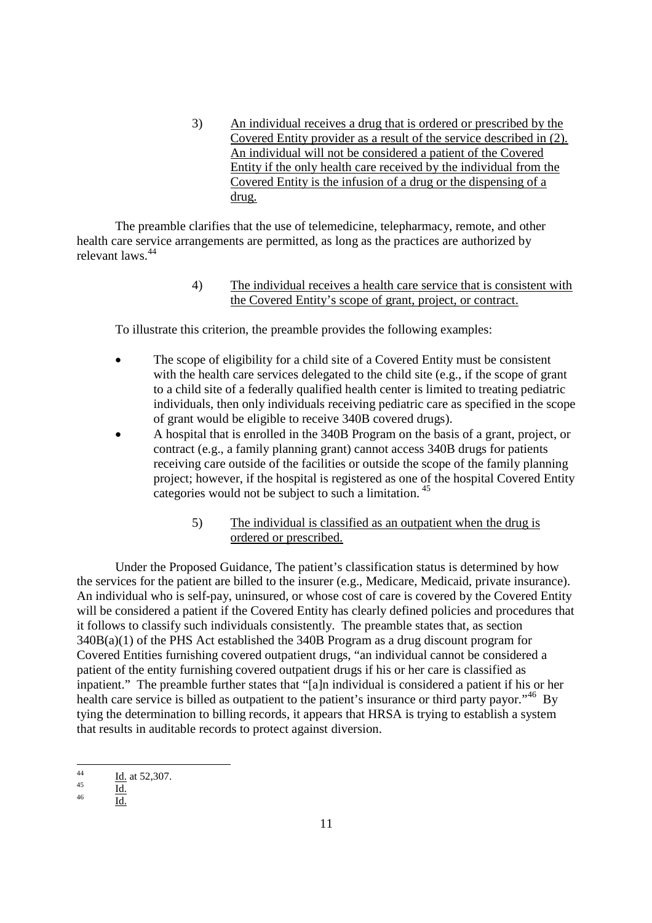3) An individual receives a drug that is ordered or prescribed by the Covered Entity provider as a result of the service described in (2). An individual will not be considered a patient of the Covered Entity if the only health care received by the individual from the Covered Entity is the infusion of a drug or the dispensing of a drug.

The preamble clarifies that the use of telemedicine, telepharmacy, remote, and other health care service arrangements are permitted, as long as the practices are authorized by relevant laws<sup>44</sup>

> 4) The individual receives a health care service that is consistent with the Covered Entity's scope of grant, project, or contract.

To illustrate this criterion, the preamble provides the following examples:

- The scope of eligibility for a child site of a Covered Entity must be consistent with the health care services delegated to the child site (e.g., if the scope of grant to a child site of a federally qualified health center is limited to treating pediatric individuals, then only individuals receiving pediatric care as specified in the scope of grant would be eligible to receive 340B covered drugs).
- A hospital that is enrolled in the 340B Program on the basis of a grant, project, or contract (e.g., a family planning grant) cannot access 340B drugs for patients receiving care outside of the facilities or outside the scope of the family planning project; however, if the hospital is registered as one of the hospital Covered Entity categories would not be subject to such a limitation. <sup>45</sup>
	- 5) The individual is classified as an outpatient when the drug is ordered or prescribed.

Under the Proposed Guidance, The patient's classification status is determined by how the services for the patient are billed to the insurer (e.g., Medicare, Medicaid, private insurance). An individual who is self-pay, uninsured, or whose cost of care is covered by the Covered Entity will be considered a patient if the Covered Entity has clearly defined policies and procedures that it follows to classify such individuals consistently. The preamble states that, as section 340B(a)(1) of the PHS Act established the 340B Program as a drug discount program for Covered Entities furnishing covered outpatient drugs, "an individual cannot be considered a patient of the entity furnishing covered outpatient drugs if his or her care is classified as inpatient." The preamble further states that "[a]n individual is considered a patient if his or her health care service is billed as outpatient to the patient's insurance or third party payor."<sup>46</sup> By tying the determination to billing records, it appears that HRSA is trying to establish a system that results in auditable records to protect against diversion.

 $\frac{44}{14}$  Id. at 52,307.

 $\frac{45}{46}$  Id.

Id.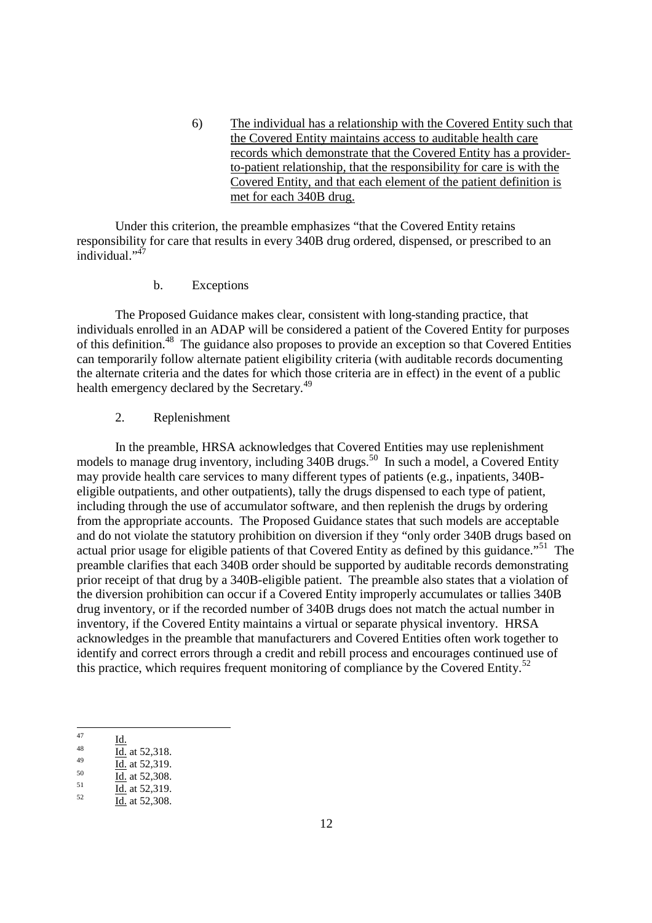6) The individual has a relationship with the Covered Entity such that the Covered Entity maintains access to auditable health care records which demonstrate that the Covered Entity has a providerto-patient relationship, that the responsibility for care is with the Covered Entity, and that each element of the patient definition is met for each 340B drug.

Under this criterion, the preamble emphasizes "that the Covered Entity retains responsibility for care that results in every 340B drug ordered, dispensed, or prescribed to an individual."<sup>47</sup>

#### b. Exceptions

The Proposed Guidance makes clear, consistent with long-standing practice, that individuals enrolled in an ADAP will be considered a patient of the Covered Entity for purposes of this definition.<sup>48</sup> The guidance also proposes to provide an exception so that Covered Entities can temporarily follow alternate patient eligibility criteria (with auditable records documenting the alternate criteria and the dates for which those criteria are in effect) in the event of a public health emergency declared by the Secretary.<sup>49</sup>

## 2. Replenishment

In the preamble, HRSA acknowledges that Covered Entities may use replenishment models to manage drug inventory, including  $340B$  drugs.<sup>50</sup> In such a model, a Covered Entity may provide health care services to many different types of patients (e.g., inpatients, 340Beligible outpatients, and other outpatients), tally the drugs dispensed to each type of patient, including through the use of accumulator software, and then replenish the drugs by ordering from the appropriate accounts. The Proposed Guidance states that such models are acceptable and do not violate the statutory prohibition on diversion if they "only order 340B drugs based on actual prior usage for eligible patients of that Covered Entity as defined by this guidance."<sup>51</sup> The preamble clarifies that each 340B order should be supported by auditable records demonstrating prior receipt of that drug by a 340B-eligible patient. The preamble also states that a violation of the diversion prohibition can occur if a Covered Entity improperly accumulates or tallies 340B drug inventory, or if the recorded number of 340B drugs does not match the actual number in inventory, if the Covered Entity maintains a virtual or separate physical inventory. HRSA acknowledges in the preamble that manufacturers and Covered Entities often work together to identify and correct errors through a credit and rebill process and encourages continued use of this practice, which requires frequent monitoring of compliance by the Covered Entity.<sup>52</sup>

- $\frac{1}{\text{Id.}}$  at 52,319.
- $\frac{50}{51}$  Id. at 52,308.
- $\frac{51}{52}$  Id. at 52,319.
- <sup>52</sup> Id. at 52,308.

 $\frac{47}{48}$  Id.

<sup>&</sup>lt;sup>48</sup> Id. at 52,318.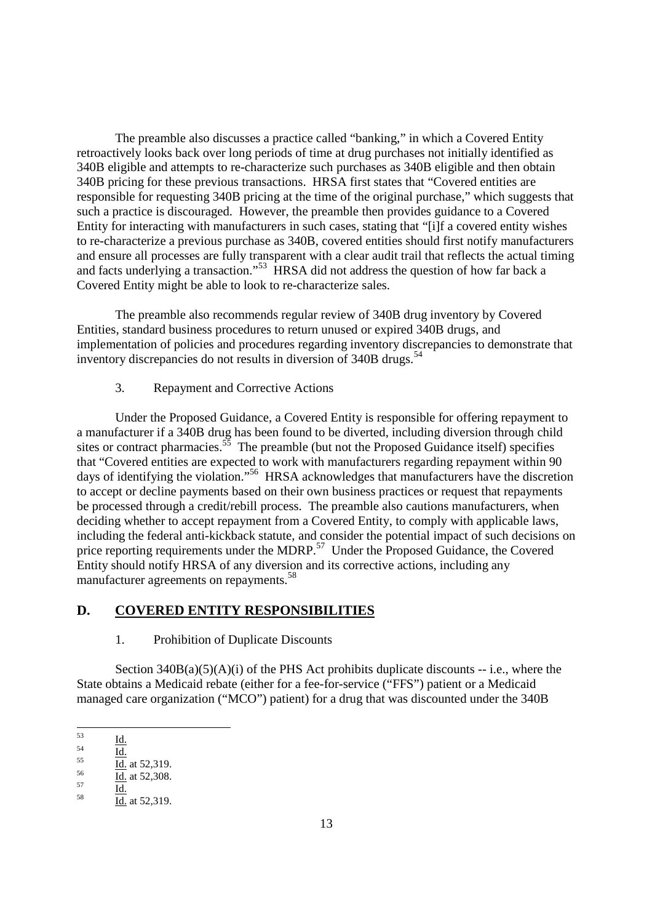The preamble also discusses a practice called "banking," in which a Covered Entity retroactively looks back over long periods of time at drug purchases not initially identified as 340B eligible and attempts to re-characterize such purchases as 340B eligible and then obtain 340B pricing for these previous transactions. HRSA first states that "Covered entities are responsible for requesting 340B pricing at the time of the original purchase," which suggests that such a practice is discouraged. However, the preamble then provides guidance to a Covered Entity for interacting with manufacturers in such cases, stating that "[i]f a covered entity wishes to re-characterize a previous purchase as 340B, covered entities should first notify manufacturers and ensure all processes are fully transparent with a clear audit trail that reflects the actual timing and facts underlying a transaction."<sup>53</sup> HRSA did not address the question of how far back a Covered Entity might be able to look to re-characterize sales.

The preamble also recommends regular review of 340B drug inventory by Covered Entities, standard business procedures to return unused or expired 340B drugs, and implementation of policies and procedures regarding inventory discrepancies to demonstrate that inventory discrepancies do not results in diversion of  $340B$  drugs.<sup>54</sup>

3. Repayment and Corrective Actions

Under the Proposed Guidance, a Covered Entity is responsible for offering repayment to a manufacturer if a 340B drug has been found to be diverted, including diversion through child sites or contract pharmacies.<sup>55</sup> The preamble (but not the Proposed Guidance itself) specifies that "Covered entities are expected to work with manufacturers regarding repayment within 90 days of identifying the violation."<sup>56</sup> HRSA acknowledges that manufacturers have the discretion to accept or decline payments based on their own business practices or request that repayments be processed through a credit/rebill process. The preamble also cautions manufacturers, when deciding whether to accept repayment from a Covered Entity, to comply with applicable laws, including the federal anti-kickback statute, and consider the potential impact of such decisions on price reporting requirements under the MDRP.<sup>57</sup> Under the Proposed Guidance, the Covered Entity should notify HRSA of any diversion and its corrective actions, including any manufacturer agreements on repayments.<sup>58</sup>

# **D. COVERED ENTITY RESPONSIBILITIES**

1. Prohibition of Duplicate Discounts

Section  $340B(a)(5)(A)(i)$  of the PHS Act prohibits duplicate discounts -- i.e., where the State obtains a Medicaid rebate (either for a fee-for-service ("FFS") patient or a Medicaid managed care organization ("MCO") patient) for a drug that was discounted under the 340B

 $\frac{55}{56}$  Id. at 52,319.

 $\frac{53}{54}$   $\frac{Id.}{11}$ 

 $rac{54}{55}$   $rac{Id.}{11}$ 

 $\frac{56}{57}$  Id. at 52,308.

 $rac{57}{58}$  Id. Id. at 52,319.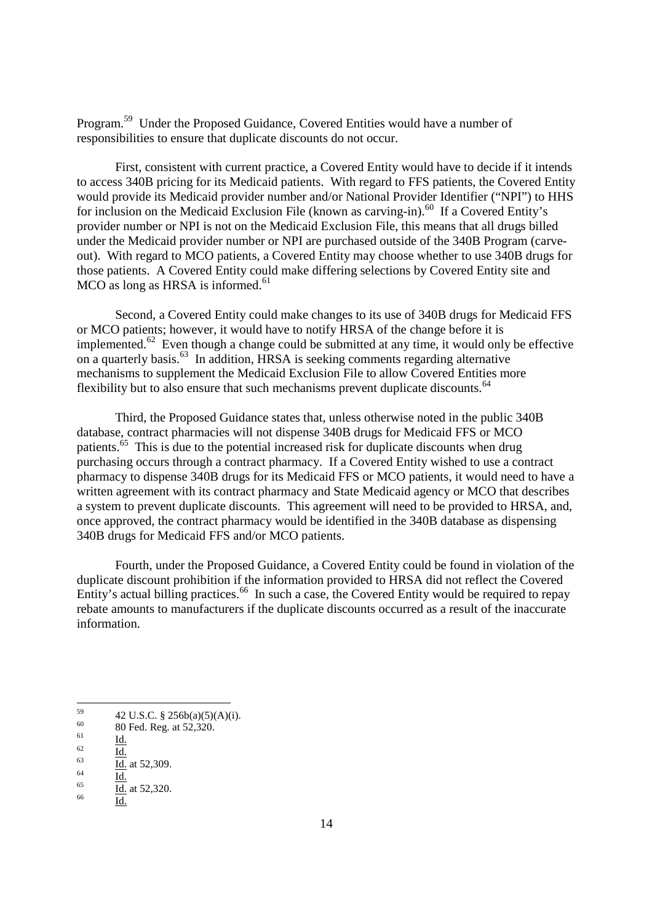Program.<sup>59</sup> Under the Proposed Guidance, Covered Entities would have a number of responsibilities to ensure that duplicate discounts do not occur.

First, consistent with current practice, a Covered Entity would have to decide if it intends to access 340B pricing for its Medicaid patients. With regard to FFS patients, the Covered Entity would provide its Medicaid provider number and/or National Provider Identifier ("NPI") to HHS for inclusion on the Medicaid Exclusion File (known as carving-in).<sup>60</sup> If a Covered Entity's provider number or NPI is not on the Medicaid Exclusion File, this means that all drugs billed under the Medicaid provider number or NPI are purchased outside of the 340B Program (carveout). With regard to MCO patients, a Covered Entity may choose whether to use 340B drugs for those patients. A Covered Entity could make differing selections by Covered Entity site and  $MCO$  as long as HRSA is informed.<sup>61</sup>

Second, a Covered Entity could make changes to its use of 340B drugs for Medicaid FFS or MCO patients; however, it would have to notify HRSA of the change before it is implemented.<sup>62</sup> Even though a change could be submitted at any time, it would only be effective on a quarterly basis.<sup>63</sup> In addition, HRSA is seeking comments regarding alternative mechanisms to supplement the Medicaid Exclusion File to allow Covered Entities more flexibility but to also ensure that such mechanisms prevent duplicate discounts.<sup>64</sup>

Third, the Proposed Guidance states that, unless otherwise noted in the public 340B database, contract pharmacies will not dispense 340B drugs for Medicaid FFS or MCO patients.<sup>65</sup> This is due to the potential increased risk for duplicate discounts when drug purchasing occurs through a contract pharmacy. If a Covered Entity wished to use a contract pharmacy to dispense 340B drugs for its Medicaid FFS or MCO patients, it would need to have a written agreement with its contract pharmacy and State Medicaid agency or MCO that describes a system to prevent duplicate discounts. This agreement will need to be provided to HRSA, and, once approved, the contract pharmacy would be identified in the 340B database as dispensing 340B drugs for Medicaid FFS and/or MCO patients.

Fourth, under the Proposed Guidance, a Covered Entity could be found in violation of the duplicate discount prohibition if the information provided to HRSA did not reflect the Covered Entity's actual billing practices.<sup>66</sup> In such a case, the Covered Entity would be required to repay rebate amounts to manufacturers if the duplicate discounts occurred as a result of the inaccurate information.

 $\frac{64}{65}$  Id.  $\frac{1}{66}$  Id. at 52,320.

 $^{59}$  42 U.S.C. § 256b(a)(5)(A)(i).

 $60$  80 Fed. Reg. at 52,320.

 $rac{61}{62}$  Id.

 $rac{62}{63}$  Id.  $\frac{1}{\text{Id.}}$  at 52,309.

 $Id.$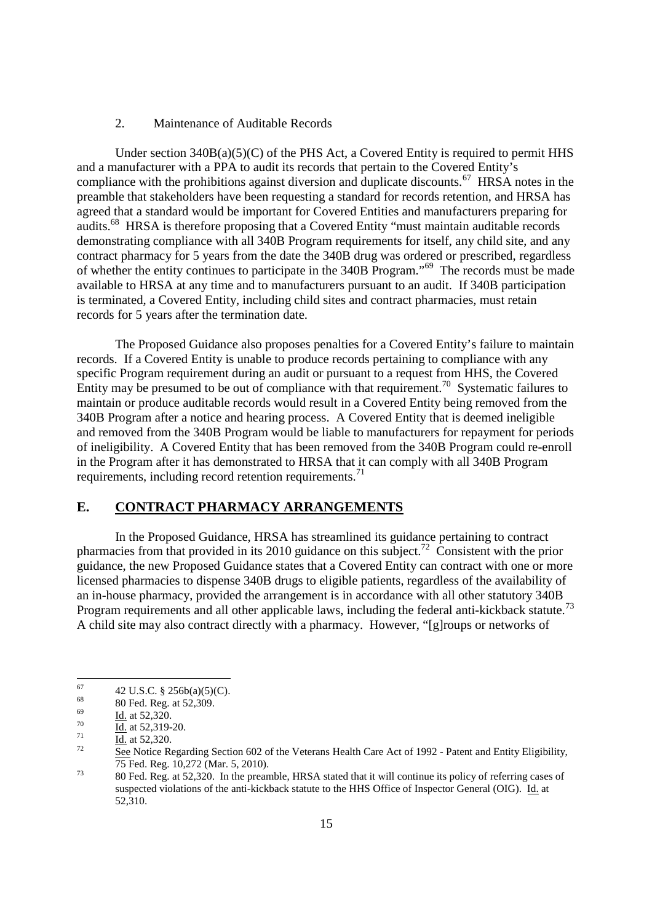#### 2. Maintenance of Auditable Records

Under section  $340B(a)(5)(C)$  of the PHS Act, a Covered Entity is required to permit HHS and a manufacturer with a PPA to audit its records that pertain to the Covered Entity's compliance with the prohibitions against diversion and duplicate discounts.<sup>67</sup> HRSA notes in the preamble that stakeholders have been requesting a standard for records retention, and HRSA has agreed that a standard would be important for Covered Entities and manufacturers preparing for audits.<sup>68</sup> HRSA is therefore proposing that a Covered Entity "must maintain auditable records demonstrating compliance with all 340B Program requirements for itself, any child site, and any contract pharmacy for 5 years from the date the 340B drug was ordered or prescribed, regardless of whether the entity continues to participate in the 340B Program."<sup>69</sup> The records must be made available to HRSA at any time and to manufacturers pursuant to an audit. If 340B participation is terminated, a Covered Entity, including child sites and contract pharmacies, must retain records for 5 years after the termination date.

The Proposed Guidance also proposes penalties for a Covered Entity's failure to maintain records. If a Covered Entity is unable to produce records pertaining to compliance with any specific Program requirement during an audit or pursuant to a request from HHS, the Covered Entity may be presumed to be out of compliance with that requirement.<sup>70</sup> Systematic failures to maintain or produce auditable records would result in a Covered Entity being removed from the 340B Program after a notice and hearing process. A Covered Entity that is deemed ineligible and removed from the 340B Program would be liable to manufacturers for repayment for periods of ineligibility. A Covered Entity that has been removed from the 340B Program could re-enroll in the Program after it has demonstrated to HRSA that it can comply with all 340B Program requirements, including record retention requirements.<sup>71</sup>

#### **E. CONTRACT PHARMACY ARRANGEMENTS**

In the Proposed Guidance, HRSA has streamlined its guidance pertaining to contract pharmacies from that provided in its 2010 guidance on this subject.<sup>72</sup> Consistent with the prior guidance, the new Proposed Guidance states that a Covered Entity can contract with one or more licensed pharmacies to dispense 340B drugs to eligible patients, regardless of the availability of an in-house pharmacy, provided the arrangement is in accordance with all other statutory 340B Program requirements and all other applicable laws, including the federal anti-kickback statute.<sup>73</sup> A child site may also contract directly with a pharmacy. However, "[g]roups or networks of

<sup>&</sup>lt;sup>67</sup> 42 U.S.C. § 256b(a)(5)(C).<br><sup>68</sup> 90 E <sup>1</sup> B<sub>1</sub> 62, 300

 $68$  80 Fed. Reg. at 52,309.

 $\frac{69}{70}$  Id. at 52,320.

 $\frac{70}{71}$  Id. at 52,319-20.

 $\frac{71}{72}$  Id. at 52,320.

<sup>72</sup> See Notice Regarding Section 602 of the Veterans Health Care Act of 1992 - Patent and Entity Eligibility, 75 Fed. Reg. 10,272 (Mar. 5, 2010).

<sup>&</sup>lt;sup>73</sup> 80 Fed. Reg. at 52,320. In the preamble, HRSA stated that it will continue its policy of referring cases of suspected violations of the anti-kickback statute to the HHS Office of Inspector General (OIG). Id. at 52,310.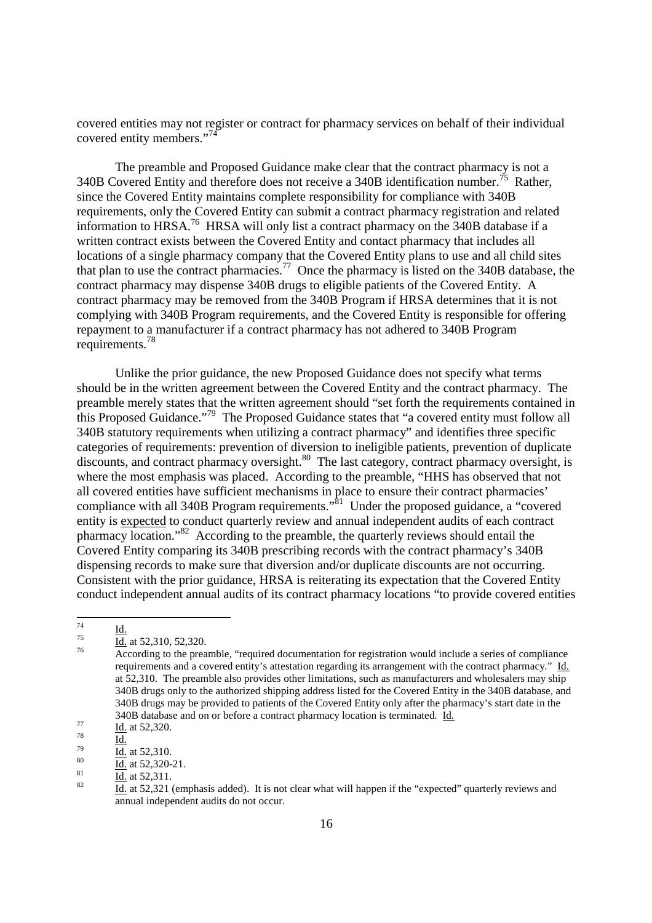covered entities may not register or contract for pharmacy services on behalf of their individual covered entity members."<sup>74</sup>

The preamble and Proposed Guidance make clear that the contract pharmacy is not a 340B Covered Entity and therefore does not receive a 340B identification number.<sup>75</sup> Rather, since the Covered Entity maintains complete responsibility for compliance with 340B requirements, only the Covered Entity can submit a contract pharmacy registration and related information to HRSA.<sup>76</sup> HRSA will only list a contract pharmacy on the 340B database if a written contract exists between the Covered Entity and contact pharmacy that includes all locations of a single pharmacy company that the Covered Entity plans to use and all child sites that plan to use the contract pharmacies.<sup>77</sup> Once the pharmacy is listed on the 340B database, the contract pharmacy may dispense 340B drugs to eligible patients of the Covered Entity. A contract pharmacy may be removed from the 340B Program if HRSA determines that it is not complying with 340B Program requirements, and the Covered Entity is responsible for offering repayment to a manufacturer if a contract pharmacy has not adhered to 340B Program requirements.<sup>78</sup>

Unlike the prior guidance, the new Proposed Guidance does not specify what terms should be in the written agreement between the Covered Entity and the contract pharmacy. The preamble merely states that the written agreement should "set forth the requirements contained in this Proposed Guidance."<sup>79</sup> The Proposed Guidance states that "a covered entity must follow all 340B statutory requirements when utilizing a contract pharmacy" and identifies three specific categories of requirements: prevention of diversion to ineligible patients, prevention of duplicate  $\frac{1}{2}$  discounts, and contract pharmacy oversight.<sup>80</sup> The last category, contract pharmacy oversight, is where the most emphasis was placed. According to the preamble, "HHS has observed that not all covered entities have sufficient mechanisms in place to ensure their contract pharmacies' compliance with all 340B Program requirements.<sup> $\dot{S}$ 1</sup> Under the proposed guidance, a "covered entity is expected to conduct quarterly review and annual independent audits of each contract pharmacy location."<sup>82</sup> According to the preamble, the quarterly reviews should entail the Covered Entity comparing its 340B prescribing records with the contract pharmacy's 340B dispensing records to make sure that diversion and/or duplicate discounts are not occurring. Consistent with the prior guidance, HRSA is reiterating its expectation that the Covered Entity conduct independent annual audits of its contract pharmacy locations "to provide covered entities

 $rac{74}{75}$  <u>Id.</u>

 $\frac{Id}{10}$  at 52,310, 52,320.

According to the preamble, "required documentation for registration would include a series of compliance requirements and a covered entity's attestation regarding its arrangement with the contract pharmacy." Id. at 52,310. The preamble also provides other limitations, such as manufacturers and wholesalers may ship 340B drugs only to the authorized shipping address listed for the Covered Entity in the 340B database, and 340B drugs may be provided to patients of the Covered Entity only after the pharmacy's start date in the 340B database and on or before a contract pharmacy location is terminated. Id.

 $\frac{77}{78}$  Id. at 52,320.

 $rac{78}{79}$  Id.

 $\frac{79}{10}$  at 52,310.

 $rac{80}{10}$  at 52,320-21.

 $\frac{81}{82}$  Id. at 52,311.

Id. at 52,321 (emphasis added). It is not clear what will happen if the "expected" quarterly reviews and annual independent audits do not occur.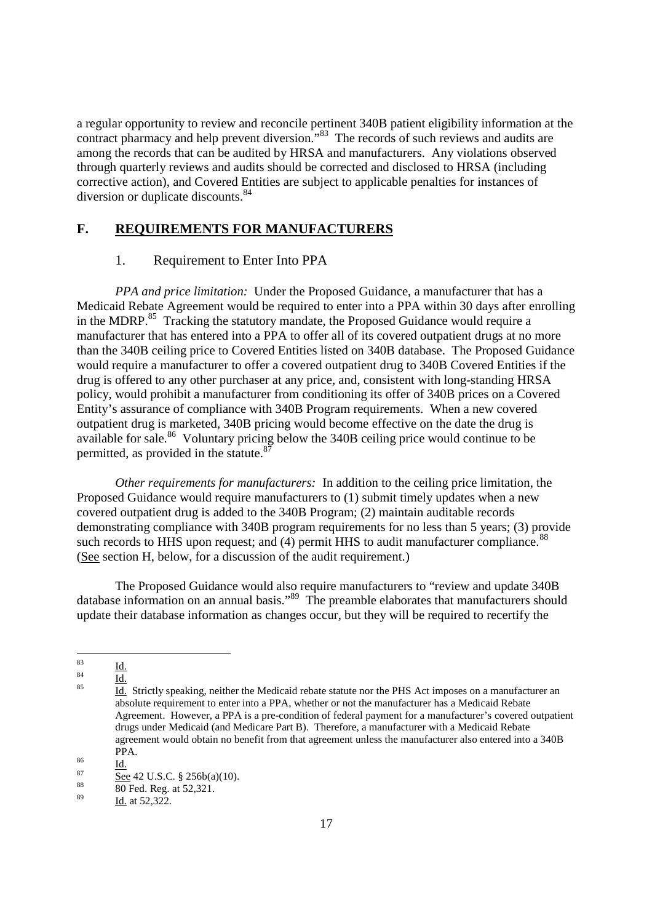a regular opportunity to review and reconcile pertinent 340B patient eligibility information at the contract pharmacy and help prevent diversion.<sup>783</sup> The records of such reviews and audits are among the records that can be audited by HRSA and manufacturers. Any violations observed through quarterly reviews and audits should be corrected and disclosed to HRSA (including corrective action), and Covered Entities are subject to applicable penalties for instances of diversion or duplicate discounts.<sup>84</sup>

## **F. REQUIREMENTS FOR MANUFACTURERS**

#### 1. Requirement to Enter Into PPA

*PPA and price limitation:* Under the Proposed Guidance, a manufacturer that has a Medicaid Rebate Agreement would be required to enter into a PPA within 30 days after enrolling in the MDRP.<sup>85</sup> Tracking the statutory mandate, the Proposed Guidance would require a manufacturer that has entered into a PPA to offer all of its covered outpatient drugs at no more than the 340B ceiling price to Covered Entities listed on 340B database. The Proposed Guidance would require a manufacturer to offer a covered outpatient drug to 340B Covered Entities if the drug is offered to any other purchaser at any price, and, consistent with long-standing HRSA policy, would prohibit a manufacturer from conditioning its offer of 340B prices on a Covered Entity's assurance of compliance with 340B Program requirements. When a new covered outpatient drug is marketed, 340B pricing would become effective on the date the drug is available for sale.<sup>86</sup> Voluntary pricing below the 340B ceiling price would continue to be permitted, as provided in the statute.<sup>87</sup>

*Other requirements for manufacturers:* In addition to the ceiling price limitation, the Proposed Guidance would require manufacturers to (1) submit timely updates when a new covered outpatient drug is added to the 340B Program; (2) maintain auditable records demonstrating compliance with 340B program requirements for no less than 5 years; (3) provide such records to HHS upon request; and (4) permit HHS to audit manufacturer compliance.<sup>88</sup> (See section H, below, for a discussion of the audit requirement.)

The Proposed Guidance would also require manufacturers to "review and update 340B database information on an annual basis."<sup>89</sup> The preamble elaborates that manufacturers should update their database information as changes occur, but they will be required to recertify the

 $rac{83}{84}$   $rac{Id.}{11}$ 

 $rac{84}{85}$  Id.

<sup>85</sup> Id. Strictly speaking, neither the Medicaid rebate statute nor the PHS Act imposes on a manufacturer an absolute requirement to enter into a PPA, whether or not the manufacturer has a Medicaid Rebate Agreement. However, a PPA is a pre-condition of federal payment for a manufacturer's covered outpatient drugs under Medicaid (and Medicare Part B). Therefore, a manufacturer with a Medicaid Rebate agreement would obtain no benefit from that agreement unless the manufacturer also entered into a 340B PPA.

 $rac{86}{87}$   $rac{Id.}{G}$ 

 $\frac{87}{88}$  See 42 U.S.C. § 256b(a)(10).

 $\frac{88}{89}$  80 Fed. Reg. at 52,321.

Id. at 52,322.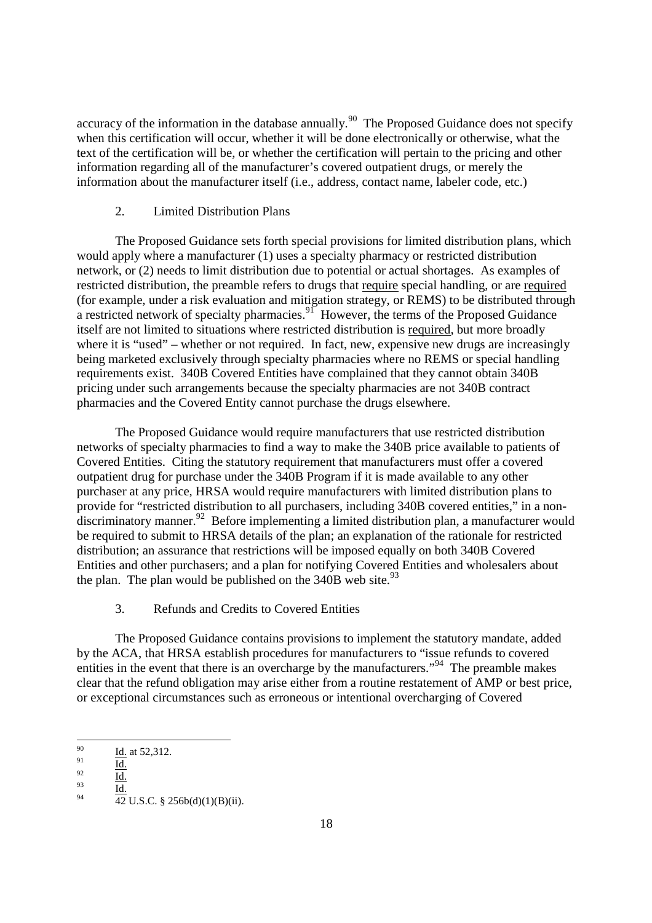accuracy of the information in the database annually.<sup>90</sup> The Proposed Guidance does not specify when this certification will occur, whether it will be done electronically or otherwise, what the text of the certification will be, or whether the certification will pertain to the pricing and other information regarding all of the manufacturer's covered outpatient drugs, or merely the information about the manufacturer itself (i.e., address, contact name, labeler code, etc.)

## 2. Limited Distribution Plans

The Proposed Guidance sets forth special provisions for limited distribution plans, which would apply where a manufacturer (1) uses a specialty pharmacy or restricted distribution network, or (2) needs to limit distribution due to potential or actual shortages. As examples of restricted distribution, the preamble refers to drugs that require special handling, or are required (for example, under a risk evaluation and mitigation strategy, or REMS) to be distributed through a restricted network of specialty pharmacies. $91$  However, the terms of the Proposed Guidance itself are not limited to situations where restricted distribution is required, but more broadly where it is "used" – whether or not required. In fact, new, expensive new drugs are increasingly being marketed exclusively through specialty pharmacies where no REMS or special handling requirements exist. 340B Covered Entities have complained that they cannot obtain 340B pricing under such arrangements because the specialty pharmacies are not 340B contract pharmacies and the Covered Entity cannot purchase the drugs elsewhere.

The Proposed Guidance would require manufacturers that use restricted distribution networks of specialty pharmacies to find a way to make the 340B price available to patients of Covered Entities. Citing the statutory requirement that manufacturers must offer a covered outpatient drug for purchase under the 340B Program if it is made available to any other purchaser at any price, HRSA would require manufacturers with limited distribution plans to provide for "restricted distribution to all purchasers, including 340B covered entities," in a nondiscriminatory manner.<sup>92</sup> Before implementing a limited distribution plan, a manufacturer would be required to submit to HRSA details of the plan; an explanation of the rationale for restricted distribution; an assurance that restrictions will be imposed equally on both 340B Covered Entities and other purchasers; and a plan for notifying Covered Entities and wholesalers about the plan. The plan would be published on the  $340B$  web site.<sup>93</sup>

3. Refunds and Credits to Covered Entities

The Proposed Guidance contains provisions to implement the statutory mandate, added by the ACA, that HRSA establish procedures for manufacturers to "issue refunds to covered entities in the event that there is an overcharge by the manufacturers."<sup>94</sup> The preamble makes clear that the refund obligation may arise either from a routine restatement of AMP or best price, or exceptional circumstances such as erroneous or intentional overcharging of Covered

 $\frac{92}{93}$  Id.

 $\frac{90}{91}$  Id. at 52,312.

 $\frac{91}{92}$  Id.

 $\frac{93}{94}$   $\frac{Id.}{12}$  $\overline{42}$  U.S.C. § 256b(d)(1)(B)(ii).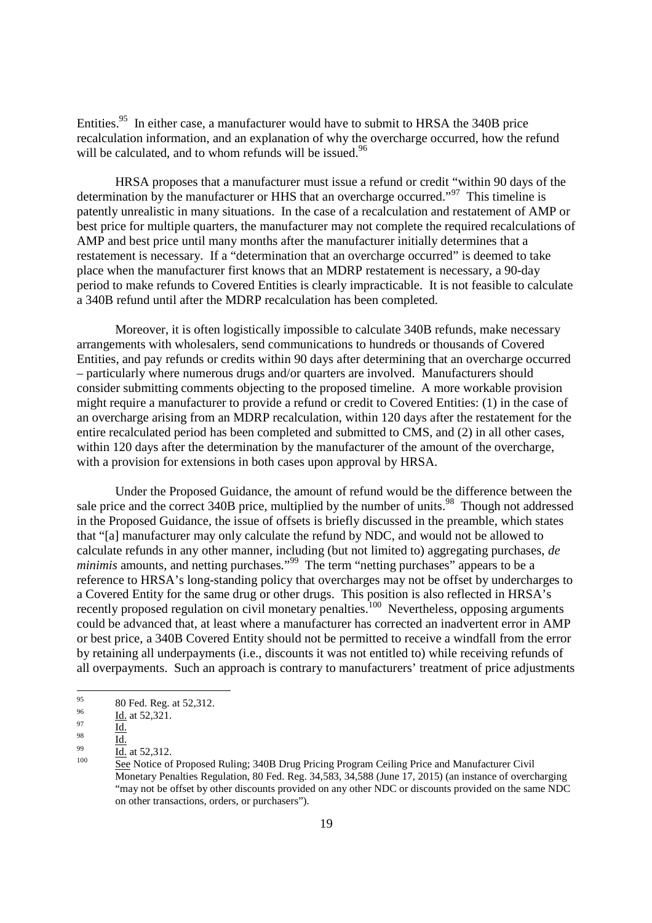Entities.<sup>95</sup> In either case, a manufacturer would have to submit to HRSA the 340B price recalculation information, and an explanation of why the overcharge occurred, how the refund will be calculated, and to whom refunds will be issued.<sup>96</sup>

HRSA proposes that a manufacturer must issue a refund or credit "within 90 days of the determination by the manufacturer or HHS that an overcharge occurred."<sup>97</sup> This timeline is patently unrealistic in many situations. In the case of a recalculation and restatement of AMP or best price for multiple quarters, the manufacturer may not complete the required recalculations of AMP and best price until many months after the manufacturer initially determines that a restatement is necessary. If a "determination that an overcharge occurred" is deemed to take place when the manufacturer first knows that an MDRP restatement is necessary, a 90-day period to make refunds to Covered Entities is clearly impracticable. It is not feasible to calculate a 340B refund until after the MDRP recalculation has been completed.

Moreover, it is often logistically impossible to calculate 340B refunds, make necessary arrangements with wholesalers, send communications to hundreds or thousands of Covered Entities, and pay refunds or credits within 90 days after determining that an overcharge occurred – particularly where numerous drugs and/or quarters are involved. Manufacturers should consider submitting comments objecting to the proposed timeline. A more workable provision might require a manufacturer to provide a refund or credit to Covered Entities: (1) in the case of an overcharge arising from an MDRP recalculation, within 120 days after the restatement for the entire recalculated period has been completed and submitted to CMS, and (2) in all other cases, within 120 days after the determination by the manufacturer of the amount of the overcharge, with a provision for extensions in both cases upon approval by HRSA.

Under the Proposed Guidance, the amount of refund would be the difference between the sale price and the correct 340B price, multiplied by the number of units.<sup>98</sup> Though not addressed in the Proposed Guidance, the issue of offsets is briefly discussed in the preamble, which states that "[a] manufacturer may only calculate the refund by NDC, and would not be allowed to calculate refunds in any other manner, including (but not limited to) aggregating purchases, *de minimis* amounts, and netting purchases."<sup>99</sup> The term "netting purchases" appears to be a reference to HRSA's long-standing policy that overcharges may not be offset by undercharges to a Covered Entity for the same drug or other drugs. This position is also reflected in HRSA's recently proposed regulation on civil monetary penalties.<sup>100</sup> Nevertheless, opposing arguments could be advanced that, at least where a manufacturer has corrected an inadvertent error in AMP or best price, a 340B Covered Entity should not be permitted to receive a windfall from the error by retaining all underpayments (i.e., discounts it was not entitled to) while receiving refunds of all overpayments. Such an approach is contrary to manufacturers' treatment of price adjustments

 $^{95}$  80 Fed. Reg. at 52,312.

 $\frac{96}{97}$  Id. at 52,321.

 $\frac{97}{98}$  Id.

 $\frac{98}{99}$  <u>Id.</u>

 $\frac{99}{100}$  Id. at 52,312.

<sup>100</sup> See Notice of Proposed Ruling; 340B Drug Pricing Program Ceiling Price and Manufacturer Civil Monetary Penalties Regulation, 80 Fed. Reg. 34,583, 34,588 (June 17, 2015) (an instance of overcharging "may not be offset by other discounts provided on any other NDC or discounts provided on the same NDC on other transactions, orders, or purchasers").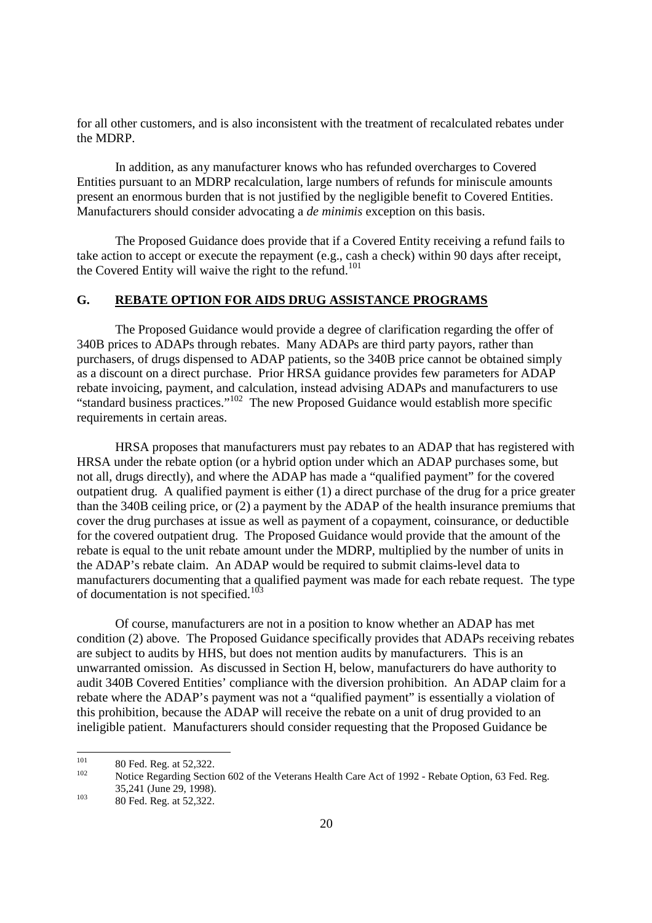for all other customers, and is also inconsistent with the treatment of recalculated rebates under the MDRP.

In addition, as any manufacturer knows who has refunded overcharges to Covered Entities pursuant to an MDRP recalculation, large numbers of refunds for miniscule amounts present an enormous burden that is not justified by the negligible benefit to Covered Entities. Manufacturers should consider advocating a *de minimis* exception on this basis.

The Proposed Guidance does provide that if a Covered Entity receiving a refund fails to take action to accept or execute the repayment (e.g., cash a check) within 90 days after receipt, the Covered Entity will waive the right to the refund.<sup>101</sup>

# **G. REBATE OPTION FOR AIDS DRUG ASSISTANCE PROGRAMS**

The Proposed Guidance would provide a degree of clarification regarding the offer of 340B prices to ADAPs through rebates. Many ADAPs are third party payors, rather than purchasers, of drugs dispensed to ADAP patients, so the 340B price cannot be obtained simply as a discount on a direct purchase. Prior HRSA guidance provides few parameters for ADAP rebate invoicing, payment, and calculation, instead advising ADAPs and manufacturers to use "standard business practices."<sup>102</sup> The new Proposed Guidance would establish more specific requirements in certain areas.

HRSA proposes that manufacturers must pay rebates to an ADAP that has registered with HRSA under the rebate option (or a hybrid option under which an ADAP purchases some, but not all, drugs directly), and where the ADAP has made a "qualified payment" for the covered outpatient drug. A qualified payment is either (1) a direct purchase of the drug for a price greater than the 340B ceiling price, or (2) a payment by the ADAP of the health insurance premiums that cover the drug purchases at issue as well as payment of a copayment, coinsurance, or deductible for the covered outpatient drug. The Proposed Guidance would provide that the amount of the rebate is equal to the unit rebate amount under the MDRP, multiplied by the number of units in the ADAP's rebate claim. An ADAP would be required to submit claims-level data to manufacturers documenting that a qualified payment was made for each rebate request. The type of documentation is not specified.<sup>103</sup>

Of course, manufacturers are not in a position to know whether an ADAP has met condition (2) above. The Proposed Guidance specifically provides that ADAPs receiving rebates are subject to audits by HHS, but does not mention audits by manufacturers. This is an unwarranted omission. As discussed in Section H, below, manufacturers do have authority to audit 340B Covered Entities' compliance with the diversion prohibition. An ADAP claim for a rebate where the ADAP's payment was not a "qualified payment" is essentially a violation of this prohibition, because the ADAP will receive the rebate on a unit of drug provided to an ineligible patient. Manufacturers should consider requesting that the Proposed Guidance be

<sup>&</sup>lt;sup>101</sup> 80 Fed. Reg. at 52,322.

Notice Regarding Section 602 of the Veterans Health Care Act of 1992 - Rebate Option, 63 Fed. Reg. 35,241 (June 29, 1998).

 $103$  80 Fed. Reg. at 52,322.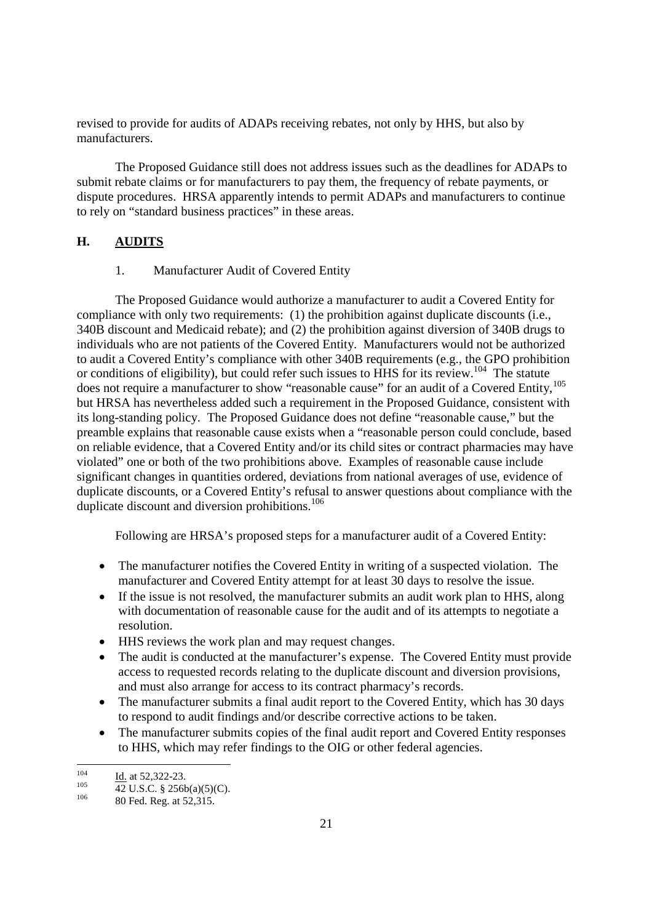revised to provide for audits of ADAPs receiving rebates, not only by HHS, but also by manufacturers.

The Proposed Guidance still does not address issues such as the deadlines for ADAPs to submit rebate claims or for manufacturers to pay them, the frequency of rebate payments, or dispute procedures. HRSA apparently intends to permit ADAPs and manufacturers to continue to rely on "standard business practices" in these areas.

## **H. AUDITS**

1. Manufacturer Audit of Covered Entity

The Proposed Guidance would authorize a manufacturer to audit a Covered Entity for compliance with only two requirements: (1) the prohibition against duplicate discounts (i.e., 340B discount and Medicaid rebate); and (2) the prohibition against diversion of 340B drugs to individuals who are not patients of the Covered Entity. Manufacturers would not be authorized to audit a Covered Entity's compliance with other 340B requirements (e.g., the GPO prohibition or conditions of eligibility), but could refer such issues to HHS for its review.<sup>104</sup> The statute does not require a manufacturer to show "reasonable cause" for an audit of a Covered Entity,<sup>105</sup> but HRSA has nevertheless added such a requirement in the Proposed Guidance, consistent with its long-standing policy. The Proposed Guidance does not define "reasonable cause," but the preamble explains that reasonable cause exists when a "reasonable person could conclude, based on reliable evidence, that a Covered Entity and/or its child sites or contract pharmacies may have violated" one or both of the two prohibitions above. Examples of reasonable cause include significant changes in quantities ordered, deviations from national averages of use, evidence of duplicate discounts, or a Covered Entity's refusal to answer questions about compliance with the duplicate discount and diversion prohibitions.<sup>106</sup>

Following are HRSA's proposed steps for a manufacturer audit of a Covered Entity:

- The manufacturer notifies the Covered Entity in writing of a suspected violation. The manufacturer and Covered Entity attempt for at least 30 days to resolve the issue.
- If the issue is not resolved, the manufacturer submits an audit work plan to HHS, along with documentation of reasonable cause for the audit and of its attempts to negotiate a resolution.
- HHS reviews the work plan and may request changes.
- The audit is conducted at the manufacturer's expense. The Covered Entity must provide access to requested records relating to the duplicate discount and diversion provisions, and must also arrange for access to its contract pharmacy's records.
- The manufacturer submits a final audit report to the Covered Entity, which has 30 days to respond to audit findings and/or describe corrective actions to be taken.
- The manufacturer submits copies of the final audit report and Covered Entity responses to HHS, which may refer findings to the OIG or other federal agencies.

 $\frac{104}{105}$  Id. at 52,322-23.

 $\frac{105}{42}$  U.S.C. § 256b(a)(5)(C).

<sup>80</sup> Fed. Reg. at 52,315.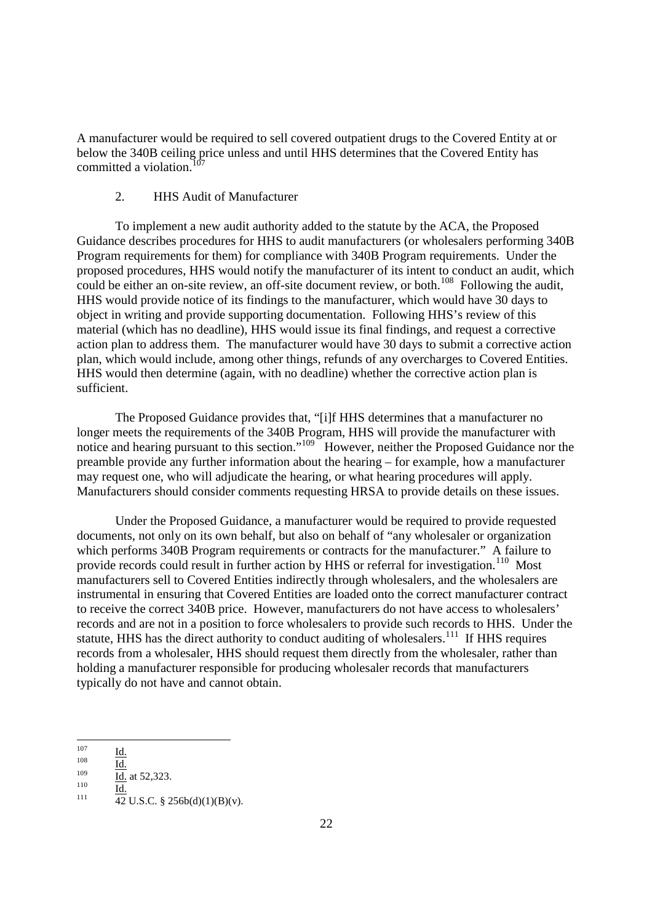A manufacturer would be required to sell covered outpatient drugs to the Covered Entity at or below the 340B ceiling price unless and until HHS determines that the Covered Entity has committed a violation.<sup>107</sup>

#### 2. HHS Audit of Manufacturer

To implement a new audit authority added to the statute by the ACA, the Proposed Guidance describes procedures for HHS to audit manufacturers (or wholesalers performing 340B Program requirements for them) for compliance with 340B Program requirements. Under the proposed procedures, HHS would notify the manufacturer of its intent to conduct an audit, which could be either an on-site review, an off-site document review, or both.<sup>108</sup> Following the audit, HHS would provide notice of its findings to the manufacturer, which would have 30 days to object in writing and provide supporting documentation. Following HHS's review of this material (which has no deadline), HHS would issue its final findings, and request a corrective action plan to address them. The manufacturer would have 30 days to submit a corrective action plan, which would include, among other things, refunds of any overcharges to Covered Entities. HHS would then determine (again, with no deadline) whether the corrective action plan is sufficient.

The Proposed Guidance provides that, "[i]f HHS determines that a manufacturer no longer meets the requirements of the 340B Program, HHS will provide the manufacturer with notice and hearing pursuant to this section."<sup>109</sup> However, neither the Proposed Guidance nor the preamble provide any further information about the hearing – for example, how a manufacturer may request one, who will adjudicate the hearing, or what hearing procedures will apply. Manufacturers should consider comments requesting HRSA to provide details on these issues.

Under the Proposed Guidance, a manufacturer would be required to provide requested documents, not only on its own behalf, but also on behalf of "any wholesaler or organization which performs 340B Program requirements or contracts for the manufacturer." A failure to provide records could result in further action by HHS or referral for investigation.<sup>110</sup> Most manufacturers sell to Covered Entities indirectly through wholesalers, and the wholesalers are instrumental in ensuring that Covered Entities are loaded onto the correct manufacturer contract to receive the correct 340B price. However, manufacturers do not have access to wholesalers' records and are not in a position to force wholesalers to provide such records to HHS. Under the statute, HHS has the direct authority to conduct auditing of wholesalers.<sup>111</sup> If HHS requires records from a wholesaler, HHS should request them directly from the wholesaler, rather than holding a manufacturer responsible for producing wholesaler records that manufacturers typically do not have and cannot obtain.

 $\frac{107}{108}$  Id.

 $\frac{108}{109}$  Id.

 $\frac{109}{110}$  Id. at 52,323.

 $\frac{110}{111}$  Id.  $\overline{42}$  U.S.C. § 256b(d)(1)(B)(v).